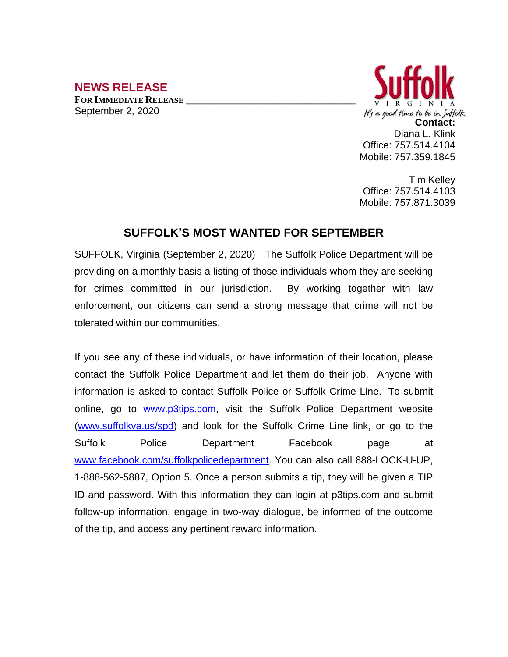## **NEWS RELEASE**

**FOR IMMEDIATE RELEASE \_\_\_\_\_\_\_\_\_\_\_\_\_\_\_\_\_\_\_\_\_\_\_\_\_\_\_\_\_\_\_\_\_\_** September 2, 2020



Tim Kelley Office: 757.514.4103 Mobile: 757.871.3039

## **SUFFOLK'S MOST WANTED FOR SEPTEMBER**

SUFFOLK, Virginia (September 2, 2020) The Suffolk Police Department will be providing on a monthly basis a listing of those individuals whom they are seeking for crimes committed in our jurisdiction. By working together with law enforcement, our citizens can send a strong message that crime will not be tolerated within our communities.

If you see any of these individuals, or have information of their location, please contact the Suffolk Police Department and let them do their job. Anyone with information is asked to contact Suffolk Police or Suffolk Crime Line. To submit online, go to [www.p3tips.com](http://www.p3tips.com), visit the Suffolk Police Department website ([www.suffolkva.us/spd](http://www.suffolkva.us/spd)) and look for the Suffolk Crime Line link, or go to the Suffolk Police Department Facebook page at [www.facebook.com/suffolkpolicedepartment](http://www.facebook.com/suffolkpolicedepartment). You can also call 888-LOCK-U-UP, 1-888-562-5887, Option 5. Once a person submits a tip, they will be given a TIP ID and password. With this information they can login at p3tips.com and submit follow-up information, engage in two-way dialogue, be informed of the outcome of the tip, and access any pertinent reward information.